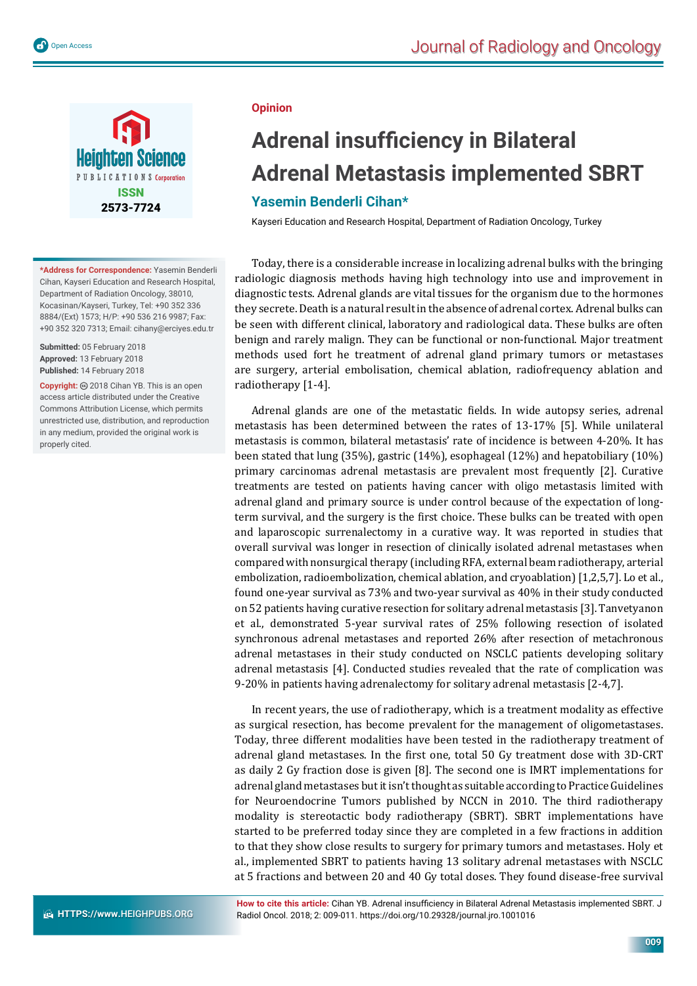

**\*Address for Correspondence:** Yasemin Benderli Cihan, Kayseri Education and Research Hospital, Department of Radiation Oncology, 38010, Kocasinan/Kayseri, Turkey, Tel: +90 352 336 8884/(Ext) 1573; H/P: +90 536 216 9987; Fax: +90 352 320 7313; Email: cihany@erciyes.edu.tr

**Submitted:** 05 February 2018 **Approved:** 13 February 2018 **Published:** 14 February 2018

Copyright: @ 2018 Cihan YB. This is an open access article distributed under the Creative Commons Attribution License, which permits unrestricted use, distribution, and reproduction in any medium, provided the original work is properly cited.

## **Opinion**

## **Adrenal insufficiency in Bilateral Adrenal Metastasis implemented SBRT**

## **Yasemin Benderli Cihan\***

Kayseri Education and Research Hospital, Department of Radiation Oncology, Turkey

Today, there is a considerable increase in localizing adrenal bulks with the bringing radiologic diagnosis methods having high technology into use and improvement in diagnostic tests. Adrenal glands are vital tissues for the organism due to the hormones they secrete. Death is a natural result in the absence of adrenal cortex. Adrenal bulks can be seen with different clinical, laboratory and radiological data. These bulks are often benign and rarely malign. They can be functional or non-functional. Major treatment methods used fort he treatment of adrenal gland primary tumors or metastases are surgery, arterial embolisation, chemical ablation, radiofrequency ablation and radiotherapy [1-4].

Adrenal glands are one of the metastatic fields. In wide autopsy series, adrenal metastasis has been determined between the rates of 13-17% [5]. While unilateral metastasis is common, bilateral metastasis' rate of incidence is between 4-20%. It has been stated that lung (35%), gastric (14%), esophageal (12%) and hepatobiliary (10%) primary carcinomas adrenal metastasis are prevalent most frequently [2]. Curative treatments are tested on patients having cancer with oligo metastasis limited with adrenal gland and primary source is under control because of the expectation of longterm survival, and the surgery is the first choice. These bulks can be treated with open and laparoscopic surrenalectomy in a curative way. It was reported in studies that overall survival was longer in resection of clinically isolated adrenal metastases when compared with nonsurgical therapy (including RFA, external beam radiotherapy, arterial embolization, radioembolization, chemical ablation, and cryoablation) [1,2,5,7]. Lo et al., found one-year survival as 73% and two-year survival as 40% in their study conducted on 52 patients having curative resection for solitary adrenal metastasis [3]. Tanvetyanon et al., demonstrated 5-year survival rates of 25% following resection of isolated synchronous adrenal metastases and reported 26% after resection of metachronous adrenal metastases in their study conducted on NSCLC patients developing solitary adrenal metastasis [4]. Conducted studies revealed that the rate of complication was 9-20% in patients having adrenalectomy for solitary adrenal metastasis [2-4,7].

In recent years, the use of radiotherapy, which is a treatment modality as effective as surgical resection, has become prevalent for the management of oligometastases. Today, three different modalities have been tested in the radiotherapy treatment of adrenal gland metastases. In the first one, total 50 Gy treatment dose with 3D-CRT as daily 2 Gy fraction dose is given [8]. The second one is IMRT implementations for adrenal gland metastases but it isn't thought as suitable according to Practice Guidelines for Neuroendocrine Tumors published by NCCN in 2010. The third radiotherapy modality is stereotactic body radiotherapy (SBRT). SBRT implementations have started to be preferred today since they are completed in a few fractions in addition to that they show close results to surgery for primary tumors and metastases. Holy et al., implemented SBRT to patients having 13 solitary adrenal metastases with NSCLC at 5 fractions and between 20 and 40 Gy total doses. They found disease-free survival

How to cite this article: Cihan YB. Adrenal insufficiency in Bilateral Adrenal Metastasis implemented SBRT. J Radiol Oncol. 2018; 2: 009-011. https://doi.org/10.29328/journal.jro.1001016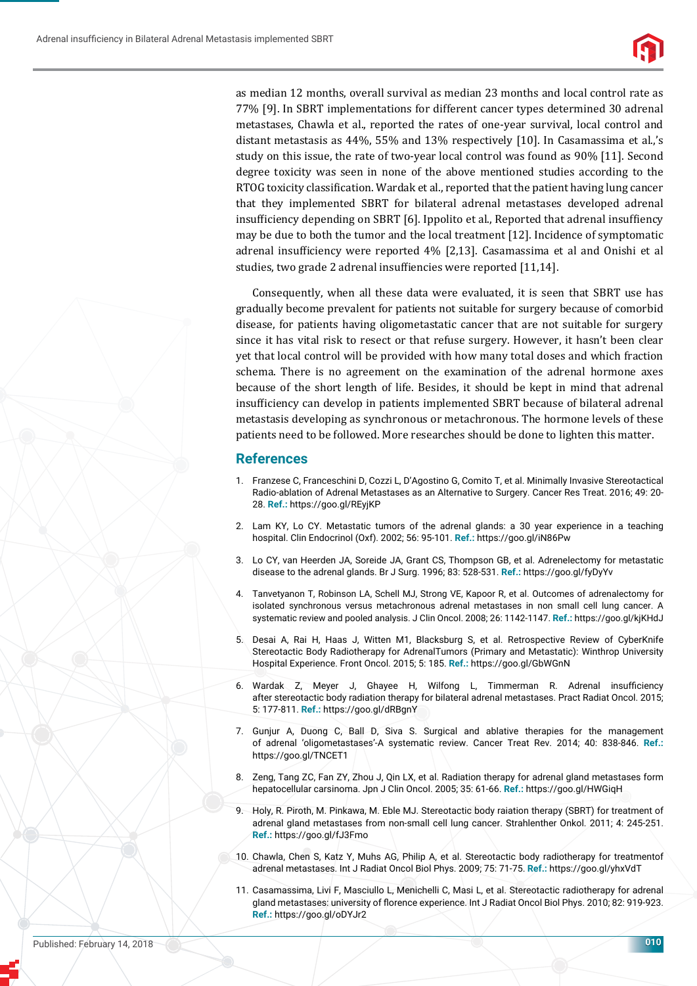

as median 12 months, overall survival as median 23 months and local control rate as 77% [9]. In SBRT implementations for different cancer types determined 30 adrenal metastases, Chawla et al., reported the rates of one-year survival, local control and distant metastasis as 44%, 55% and 13% respectively [10]. In Casamassima et al.,'s study on this issue, the rate of two-year local control was found as 90% [11]. Second degree toxicity was seen in none of the above mentioned studies according to the RTOG toxicity classification. Wardak et al., reported that the patient having lung cancer that they implemented SBRT for bilateral adrenal metastases developed adrenal insufficiency depending on SBRT [6]. Ippolito et al., Reported that adrenal insuffiency may be due to both the tumor and the local treatment [12]. Incidence of symptomatic adrenal insufficiency were reported 4% [2,13]. Casamassima et al and Onishi et al studies, two grade 2 adrenal insuffiencies were reported [11,14].

Consequently, when all these data were evaluated, it is seen that SBRT use has gradually become prevalent for patients not suitable for surgery because of comorbid disease, for patients having oligometastatic cancer that are not suitable for surgery since it has vital risk to resect or that refuse surgery. However, it hasn't been clear yet that local control will be provided with how many total doses and which fraction schema. There is no agreement on the examination of the adrenal hormone axes because of the short length of life. Besides, it should be kept in mind that adrenal insufficiency can develop in patients implemented SBRT because of bilateral adrenal metastasis developing as synchronous or metachronous. The hormone levels of these patients need to be followed. More researches should be done to lighten this matter.

## **References**

- 1. Franzese C, Franceschini D, Cozzi L, D'Agostino G, Comito T, et al. Minimally Invasive Stereotactical Radio-ablation of Adrenal Metastases as an Alternative to Surgery. Cancer Res Treat. 2016; 49: 20- 28. **Ref.:** https://goo.gl/REyjKP
- 2. Lam KY, Lo CY. Metastatic tumors of the adrenal glands: a 30 year experience in a teaching hospital. Clin Endocrinol (Oxf). 2002; 56: 95-101. **Ref.:** https://goo.gl/iN86Pw
- 3. Lo CY, van Heerden JA, Soreide JA, Grant CS, Thompson GB, et al. Adrenelectomy for metastatic disease to the adrenal glands. Br J Surg. 1996; 83: 528-531. **Ref.:** https://goo.gl/fyDyYv
- 4. Tanvetyanon T, Robinson LA, Schell MJ, Strong VE, Kapoor R, et al. Outcomes of adrenalectomy for isolated synchronous versus metachronous adrenal metastases in non small cell lung cancer. A systematic review and pooled analysis. J Clin Oncol. 2008; 26: 1142-1147. **Ref.:** https://goo.gl/kjKHdJ
- 5. Desai A, Rai H, Haas J, Witten M1, Blacksburg S, et al. Retrospective Review of CyberKnife Stereotactic Body Radiotherapy for AdrenalTumors (Primary and Metastatic): Winthrop University Hospital Experience. Front Oncol. 2015; 5: 185. **Ref.:** https://goo.gl/GbWGnN
- 6. Wardak Z, Meyer J, Ghayee H, Wilfong L, Timmerman R. Adrenal insufficiency after stereotactic body radiation therapy for bilateral adrenal metastases. Pract Radiat Oncol. 2015; 5: 177-811. **Ref.:** https://goo.gl/dRBgnY
- 7. Gunjur A, Duong C, Ball D, Siva S. Surgical and ablative therapies for the management of adrenal 'oligometastases'-A systematic review. Cancer Treat Rev. 2014; 40: 838-846. **Ref.:** https://goo.gl/TNCET1
- 8. Zeng, Tang ZC, Fan ZY, Zhou J, Qin LX, et al. Radiation therapy for adrenal gland metastases form hepatocellular carsinoma. Jpn J Clin Oncol. 2005; 35: 61-66. **Ref.:** https://goo.gl/HWGiqH
- 9. Holy, R. Piroth, M. Pinkawa, M. Eble MJ. Stereotactic body raiation therapy (SBRT) for treatment of adrenal gland metastases from non-small cell lung cancer. Strahlenther Onkol. 2011; 4: 245-251. **Ref.:** https://goo.gl/fJ3Fmo
- 10. Chawla, Chen S, Katz Y, Muhs AG, Philip A, et al. Stereotactic body radiotherapy for treatmentof adrenal metastases. Int J Radiat Oncol Biol Phys. 2009; 75: 71-75. **Ref.:** https://goo.gl/yhxVdT
- 11. Casamassima, Livi F, Masciullo L, Menichelli C, Masi L, et al. Stereotactic radiotherapy for adrenal gland metastases: university of florence experience. Int J Radiat Oncol Biol Phys. 2010; 82: 919-923. **Ref.:** https://goo.gl/oDYJr2